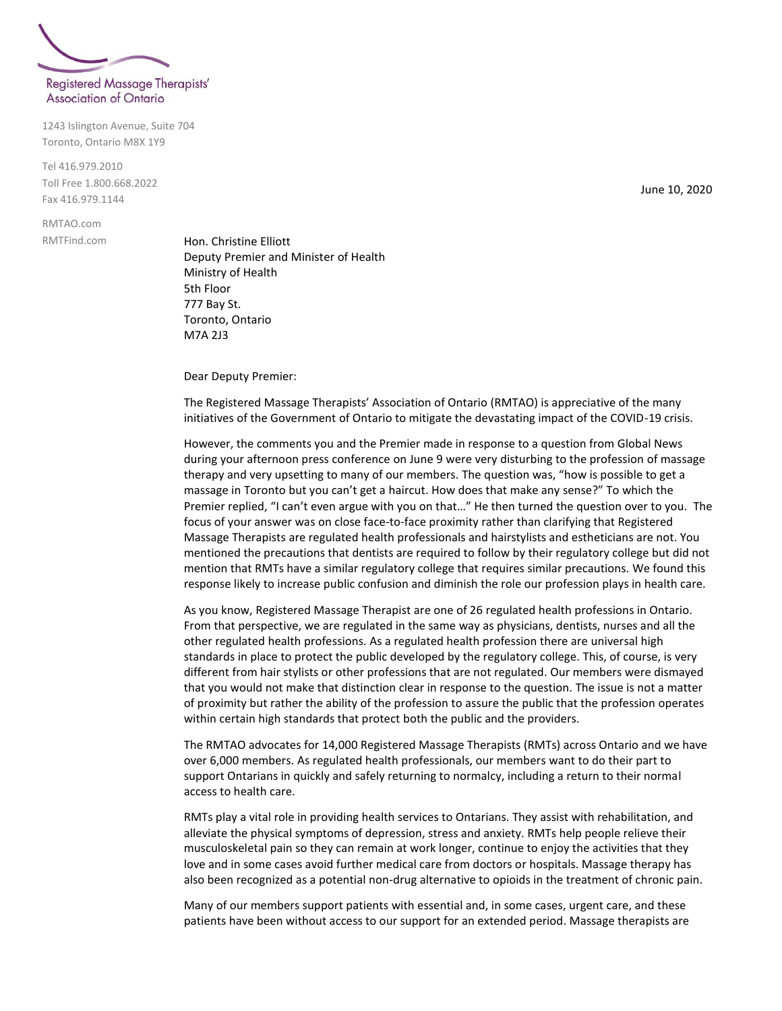

## **Association of Ontario**

1243 Islington Avenue, Suite 704 Toronto, Ontario M8X 1Y9

Tel 416.979.2010 Toll Free 1.800.668.2022 Fax 416.979.1144

RMTAO.com RMTFind.com

Hon. Christine Elliott Deputy Premier and Minister of Health Ministry of Health 5th Floor 777 Bay St. Toronto, Ontario M7A 2J3

Dear Deputy Premier:

The Registered Massage Therapists' Association of Ontario (RMTAO) is appreciative of the many initiatives of the Government of Ontario to mitigate the devastating impact of the COVID-19 crisis.

However, the comments you and the Premier made in response to a question from Global News during your afternoon press conference on June 9 were very disturbing to the profession of massage therapy and very upsetting to many of our members. The question was, "how is possible to get a massage in Toronto but you can't get a haircut. How does that make any sense?" To which the Premier replied, "I can't even argue with you on that…" He then turned the question over to you. The focus of your answer was on close face-to-face proximity rather than clarifying that Registered Massage Therapists are regulated health professionals and hairstylists and estheticians are not. You mentioned the precautions that dentists are required to follow by their regulatory college but did not mention that RMTs have a similar regulatory college that requires similar precautions. We found this response likely to increase public confusion and diminish the role our profession plays in health care.

As you know, Registered Massage Therapist are one of 26 regulated health professions in Ontario. From that perspective, we are regulated in the same way as physicians, dentists, nurses and all the other regulated health professions. As a regulated health profession there are universal high standards in place to protect the public developed by the regulatory college. This, of course, is very different from hair stylists or other professions that are not regulated. Our members were dismayed that you would not make that distinction clear in response to the question. The issue is not a matter of proximity but rather the ability of the profession to assure the public that the profession operates within certain high standards that protect both the public and the providers.

The RMTAO advocates for 14,000 Registered Massage Therapists (RMTs) across Ontario and we have over 6,000 members. As regulated health professionals, our members want to do their part to support Ontarians in quickly and safely returning to normalcy, including a return to their normal access to health care.

RMTs play a vital role in providing health services to Ontarians. They assist with rehabilitation, and alleviate the physical symptoms of depression, stress and anxiety. RMTs help people relieve their musculoskeletal pain so they can remain at work longer, continue to enjoy the activities that they love and in some cases avoid further medical care from doctors or hospitals. Massage therapy has also been recognized as a potential non-drug alternative to opioids in the treatment of chronic pain.

Many of our members support patients with essential and, in some cases, urgent care, and these patients have been without access to our support for an extended period. Massage therapists are

June 10, 2020